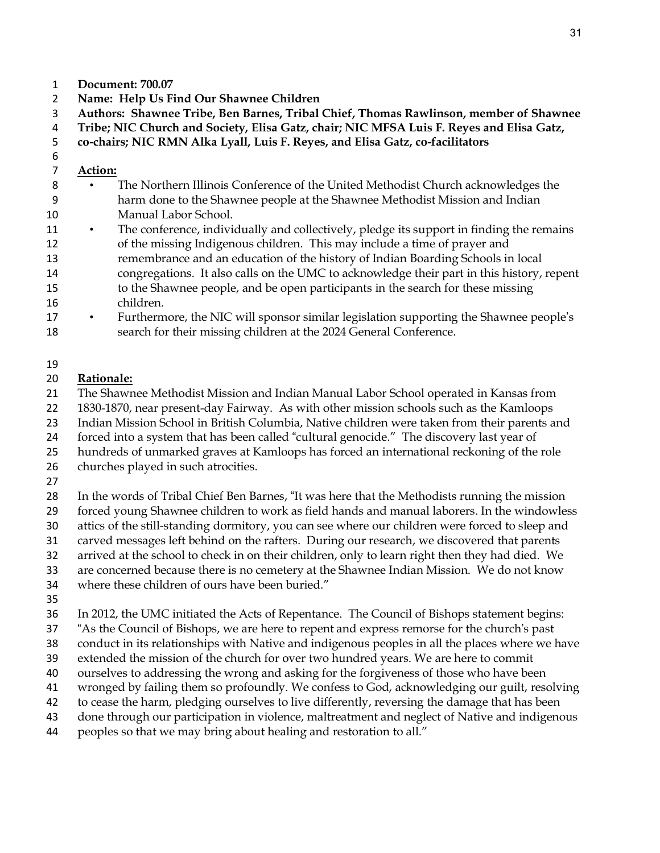- **Document: 700.07**
- **Name: Help Us Find Our Shawnee Children**
- **Authors: Shawnee Tribe, Ben Barnes, Tribal Chief, Thomas Rawlinson, member of Shawnee**

**Tribe; NIC Church and Society, Elisa Gatz, chair; NIC MFSA Luis F. Reyes and Elisa Gatz,**

- **co-chairs; NIC RMN Alka Lyall, Luis F. Reyes, and Elisa Gatz, co-facilitators**
- 

# **Action:**

- The Northern Illinois Conference of the United Methodist Church acknowledges the harm done to the Shawnee people at the Shawnee Methodist Mission and Indian Manual Labor School.
- 11 The conference, individually and collectively, pledge its support in finding the remains of the missing Indigenous children. This may include a time of prayer and remembrance and an education of the history of Indian Boarding Schools in local congregations. It also calls on the UMC to acknowledge their part in this history, repent to the Shawnee people, and be open participants in the search for these missing children.
- Furthermore, the NIC will sponsor similar legislation supporting the Shawnee people's search for their missing children at the 2024 General Conference.

#### 

# **Rationale:**

- The Shawnee Methodist Mission and Indian Manual Labor School operated in Kansas from
- 1830-1870, near present-day Fairway. As with other mission schools such as the Kamloops
- Indian Mission School in British Columbia, Native children were taken from their parents and
- forced into a system that has been called "cultural genocide." The discovery last year of
- hundreds of unmarked graves at Kamloops has forced an international reckoning of the role
- churches played in such atrocities.
- 
- In the words of Tribal Chief Ben Barnes, "It was here that the Methodists running the mission
- forced young Shawnee children to work as field hands and manual laborers. In the windowless
- attics of the still-standing dormitory, you can see where our children were forced to sleep and
- carved messages left behind on the rafters. During our research, we discovered that parents
- arrived at the school to check in on their children, only to learn right then they had died. We
- are concerned because there is no cemetery at the Shawnee Indian Mission. We do not know
- where these children of ours have been buried."
- 
- In 2012, the UMC initiated the Acts of Repentance. The Council of Bishops statement begins:
- "As the Council of Bishops, we are here to repent and express remorse for the church's past
- conduct in its relationships with Native and indigenous peoples in all the places where we have
- extended the mission of the church for over two hundred years. We are here to commit
- ourselves to addressing the wrong and asking for the forgiveness of those who have been
- wronged by failing them so profoundly. We confess to God, acknowledging our guilt, resolving
- to cease the harm, pledging ourselves to live differently, reversing the damage that has been
- done through our participation in violence, maltreatment and neglect of Native and indigenous
- peoples so that we may bring about healing and restoration to all."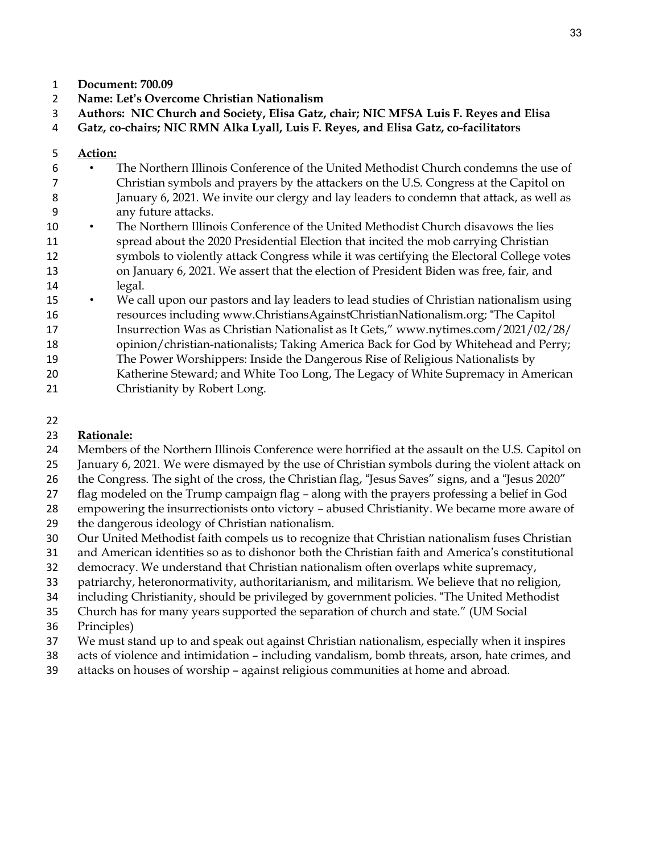- **Document: 700.09**
- **Name: Let's Overcome Christian Nationalism**
- **Authors: NIC Church and Society, Elisa Gatz, chair; NIC MFSA Luis F. Reyes and Elisa**

**Gatz, co-chairs; NIC RMN Alka Lyall, Luis F. Reyes, and Elisa Gatz, co-facilitators**

### **Action:**

- The Northern Illinois Conference of the United Methodist Church condemns the use of Christian symbols and prayers by the attackers on the U.S. Congress at the Capitol on January 6, 2021. We invite our clergy and lay leaders to condemn that attack, as well as any future attacks.
- The Northern Illinois Conference of the United Methodist Church disavows the lies spread about the 2020 Presidential Election that incited the mob carrying Christian symbols to violently attack Congress while it was certifying the Electoral College votes on January 6, 2021. We assert that the election of President Biden was free, fair, and legal.
- We call upon our pastors and lay leaders to lead studies of Christian nationalism using resources including www.ChristiansAgainstChristianNationalism.org; "The Capitol
- Insurrection Was as Christian Nationalist as It Gets," www.nytimes.com/2021/02/28/
- opinion/christian-nationalists; Taking America Back for God by Whitehead and Perry;
- The Power Worshippers: Inside the Dangerous Rise of Religious Nationalists by
- Katherine Steward; and White Too Long, The Legacy of White Supremacy in American Christianity by Robert Long.

#### 

# **Rationale:**

- Members of the Northern Illinois Conference were horrified at the assault on the U.S. Capitol on
- January 6, 2021. We were dismayed by the use of Christian symbols during the violent attack on
- the Congress. The sight of the cross, the Christian flag, "Jesus Saves" signs, and a "Jesus 2020"
- flag modeled on the Trump campaign flag along with the prayers professing a belief in God
- empowering the insurrectionists onto victory abused Christianity. We became more aware of
- the dangerous ideology of Christian nationalism.
- Our United Methodist faith compels us to recognize that Christian nationalism fuses Christian
- and American identities so as to dishonor both the Christian faith and America's constitutional
- democracy. We understand that Christian nationalism often overlaps white supremacy,
- patriarchy, heteronormativity, authoritarianism, and militarism. We believe that no religion,
- including Christianity, should be privileged by government policies. "The United Methodist
- Church has for many years supported the separation of church and state." (UM Social
- Principles)
- We must stand up to and speak out against Christian nationalism, especially when it inspires
- acts of violence and intimidation including vandalism, bomb threats, arson, hate crimes, and
- attacks on houses of worship against religious communities at home and abroad.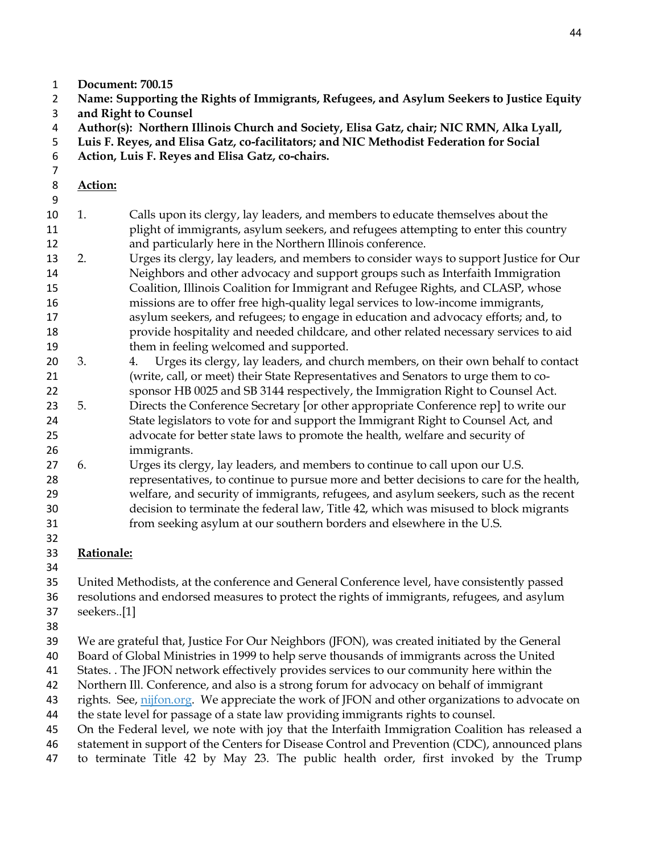- **Document: 700.15**
- **Name: Supporting the Rights of Immigrants, Refugees, and Asylum Seekers to Justice Equity and Right to Counsel**
- **Author(s): Northern Illinois Church and Society, Elisa Gatz, chair; NIC RMN, Alka Lyall,**
- **Luis F. Reyes, and Elisa Gatz, co-facilitators; and NIC Methodist Federation for Social**
- **Action, Luis F. Reyes and Elisa Gatz, co-chairs.**
- 

- **Action:**
- 1. Calls upon its clergy, lay leaders, and members to educate themselves about the plight of immigrants, asylum seekers, and refugees attempting to enter this country and particularly here in the Northern Illinois conference.
- 2. Urges its clergy, lay leaders, and members to consider ways to support Justice for Our Neighbors and other advocacy and support groups such as Interfaith Immigration Coalition, Illinois Coalition for Immigrant and Refugee Rights, and CLASP, whose missions are to offer free high-quality legal services to low-income immigrants, asylum seekers, and refugees; to engage in education and advocacy efforts; and, to provide hospitality and needed childcare, and other related necessary services to aid them in feeling welcomed and supported.
- 3. 4. Urges its clergy, lay leaders, and church members, on their own behalf to contact (write, call, or meet) their State Representatives and Senators to urge them to co-
- sponsor HB 0025 and SB 3144 respectively, the Immigration Right to Counsel Act. 5. Directs the Conference Secretary [or other appropriate Conference rep] to write our State legislators to vote for and support the Immigrant Right to Counsel Act, and advocate for better state laws to promote the health, welfare and security of immigrants.
- 6. Urges its clergy, lay leaders, and members to continue to call upon our U.S. representatives, to continue to pursue more and better decisions to care for the health, welfare, and security of immigrants, refugees, and asylum seekers, such as the recent decision to terminate the federal law, Title 42, which was misused to block migrants from seeking asylum at our southern borders and elsewhere in the U.S.
- **Rationale:**
- 

United Methodists, at the conference and General Conference level, have consistently passed

resolutions and endorsed measures to protect the rights of immigrants, refugees, and asylum

- seekers..[1]
- 

We are grateful that, Justice For Our Neighbors (JFON), was created initiated by the General

Board of Global Ministries in 1999 to help serve thousands of immigrants across the United

- States. . The JFON network effectively provides services to our community here within the
- Northern Ill. Conference, and also is a strong forum for advocacy on behalf of immigrant
- 43 rights. See, [nijfon.org.](http://nijfon.org/) We appreciate the work of JFON and other organizations to advocate on
- the state level for passage of a state law providing immigrants rights to counsel.
- On the Federal level, we note with joy that the Interfaith Immigration Coalition has released a
- statement in support of the Centers for Disease Control and Prevention (CDC), announced plans to terminate Title 42 by May 23. The public health order, first invoked by the Trump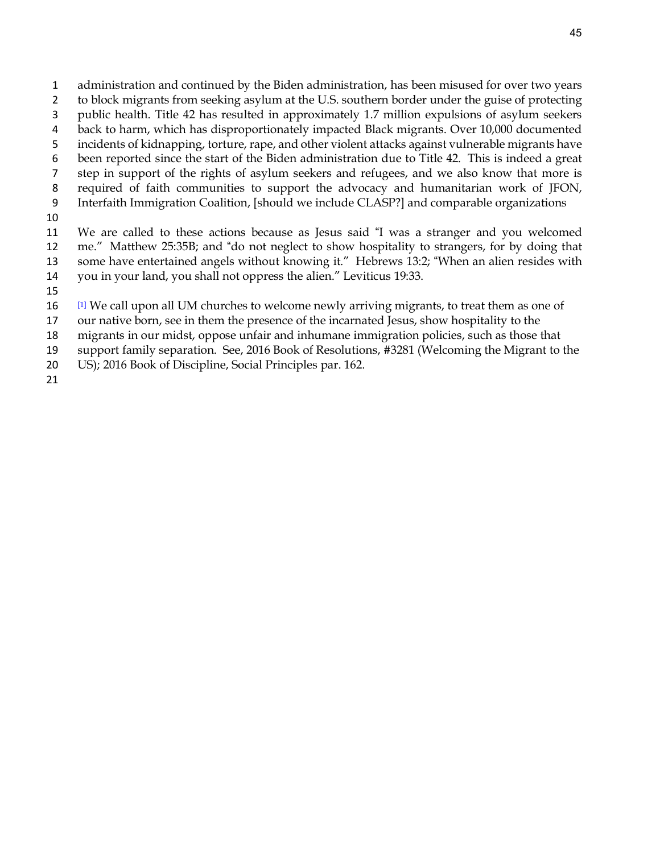- administration and continued by the Biden administration, has been misused for over two years to block migrants from seeking asylum at the U.S. southern border under the guise of protecting public health. Title 42 has resulted in approximately 1.7 million expulsions of asylum seekers back to harm, which has disproportionately impacted Black migrants. Over 10,000 documented incidents of kidnapping, torture, rape, and other violent attacks against vulnerable migrants have been reported since the start of the Biden administration due to Title 42. This is indeed a great step in support of the rights of asylum seekers and refugees, and we also know that more is required of faith communities to support the advocacy and humanitarian work of JFON, Interfaith Immigration Coalition, [should we include CLASP?] and comparable organizations
- 

 We are called to these actions because as Jesus said "I was a stranger and you welcomed me." Matthew 25:35B; and "do not neglect to show hospitality to strangers, for by doing that some have entertained angels without knowing it." Hebrews 13:2; "When an alien resides with you in your land, you shall not oppress the alien." Leviticus 19:33.

- 
- [1] We call upon all UM churches to welcome newly arriving migrants, to treat them as one of
- our native born, see in them the presence of the incarnated Jesus, show hospitality to the
- migrants in our midst, oppose unfair and inhumane immigration policies, such as those that
- support family separation. See, 2016 Book of Resolutions, #3281 (Welcoming the Migrant to the
- US); 2016 Book of Discipline, Social Principles par. 162.
-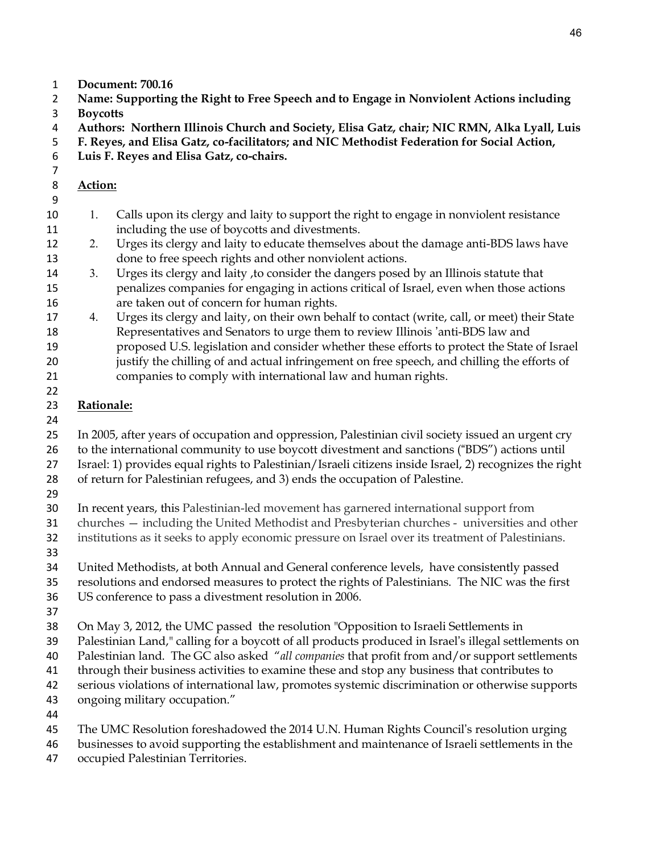- **Document: 700.16**
- **Name: Supporting the Right to Free Speech and to Engage in Nonviolent Actions including**
- **Boycotts**
- **Authors: Northern Illinois Church and Society, Elisa Gatz, chair; NIC RMN, Alka Lyall, Luis**
- **F. Reyes, and Elisa Gatz, co-facilitators; and NIC Methodist Federation for Social Action,**
- **Luis F. Reyes and Elisa Gatz, co-chairs.**
- 

- **Action:**
- 1. Calls upon its clergy and laity to support the right to engage in nonviolent resistance including the use of boycotts and divestments.
- 2. Urges its clergy and laity to educate themselves about the damage anti-BDS laws have done to free speech rights and other nonviolent actions.
- 3. Urges its clergy and laity ,to consider the dangers posed by an Illinois statute that penalizes companies for engaging in actions critical of Israel, even when those actions are taken out of concern for human rights.
- 4. Urges its clergy and laity, on their own behalf to contact (write, call, or meet) their State Representatives and Senators to urge them to review Illinois 'anti-BDS law and proposed U.S. legislation and consider whether these efforts to protect the State of Israel
- justify the chilling of and actual infringement on free speech, and chilling the efforts of companies to comply with international law and human rights.
- **Rationale:**
- 

 In 2005, after years of occupation and oppression, Palestinian civil society issued an urgent cry to the international community to use boycott divestment and sanctions ("BDS") actions until

- Israel: 1) provides equal rights to Palestinian/Israeli citizens inside Israel, 2) recognizes the right
- of return for Palestinian refugees, and 3) ends the occupation of Palestine.
- 

In recent years, this Palestinian-led movement has garnered international support from

churches — including the United Methodist and Presbyterian churches - universities and other

- institutions as it seeks to apply economic pressure on Israel over its treatment of Palestinians.
- 
- United Methodists, at both Annual and General conference levels, have consistently passed
- resolutions and endorsed measures to protect the rights of Palestinians. The NIC was the first
- US conference to pass a divestment resolution in 2006.
- 
- On May 3, 2012, the UMC passed the resolution "Opposition to Israeli Settlements in
- Palestinian Land," calling for a boycott of all products produced in Israel's illegal settlements on
- Palestinian land. The GC also asked "*all companies* that profit from and/or support settlements
- through their business activities to examine these and stop any business that contributes to
- serious violations of international law, promotes systemic discrimination or otherwise supports
- ongoing military occupation."
- 
- The UMC Resolution foreshadowed the 2014 U.N. Human Rights Council's resolution urging
- businesses to avoid supporting the establishment and maintenance of Israeli settlements in the
- occupied Palestinian Territories.